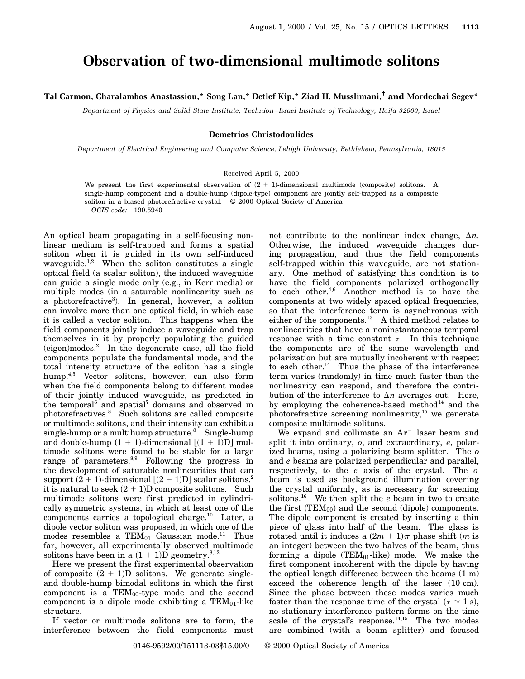# **Observation of two-dimensional multimode solitons**

## **Tal Carmon, Charalambos Anastassiou,\* Song Lan,\* Detlef Kip,\* Ziad H. Musslimani,† and Mordechai Segev\***

*Department of Physics and Solid State Institute, Technion–Israel Institute of Technology, Haifa 32000, Israel*

#### **Demetrios Christodoulides**

*Department of Electrical Engineering and Computer Science, Lehigh University, Bethlehem, Pennsylvania, 18015*

### Received April 5, 2000

We present the first experimental observation of  $(2 + 1)$ -dimensional multimode (composite) solitons. A single-hump component and a double-hump (dipole-type) component are jointly self-trapped as a composite soliton in a biased photorefractive crystal. © 2000 Optical Society of America *OCIS code:* 190.5940

An optical beam propagating in a self-focusing nonlinear medium is self-trapped and forms a spatial soliton when it is guided in its own self-induced waveguide.<sup>1,2</sup> When the soliton constitutes a single optical field (a scalar soliton), the induced waveguide can guide a single mode only (e.g., in Kerr media) or multiple modes (in a saturable nonlinearity such as a photorefractive<sup>3</sup>). In general, however, a soliton can involve more than one optical field, in which case it is called a vector soliton. This happens when the field components jointly induce a waveguide and trap themselves in it by properly populating the guided (eigen)modes.<sup>2</sup> In the degenerate case, all the field components populate the fundamental mode, and the total intensity structure of the soliton has a single hump.4,5 Vector solitons, however, can also form when the field components belong to different modes of their jointly induced waveguide, as predicted in the temporal<sup>6</sup> and spatial<sup>7</sup> domains and observed in photorefractives.<sup>8</sup> Such solitons are called composite or multimode solitons, and their intensity can exhibit a single-hump or a multihump structure.<sup>8</sup> Single-hump and double-hump  $(1 + 1)$ -dimensional  $[(1 + 1)D]$  multimode solitons were found to be stable for a large range of parameters. $8,9$  Following the progress in the development of saturable nonlinearities that can support  $(2 + 1)$ -dimensional  $[(2 + 1)D]$  scalar solitons,<sup>2</sup> it is natural to seek  $(2 + 1)D$  composite solitons. Such multimode solitons were first predicted in cylindrically symmetric systems, in which at least one of the components carries a topological charge. $10$  Later, a dipole vector soliton was proposed, in which one of the modes resembles a  $TEM_{01}$  Gaussian mode.<sup>11</sup> Thus far, however, all experimentally observed multimode solitons have been in a  $(1 + 1)D$  geometry.<sup>8,12</sup>

Here we present the first experimental observation of composite  $(2 + 1)D$  solitons. We generate singleand double-hump bimodal solitons in which the first component is a  $TEM_{00}$ -type mode and the second component is a dipole mode exhibiting a  $TEM_{01}$ -like structure.

If vector or multimode solitons are to form, the interference between the field components must not contribute to the nonlinear index change,  $\Delta n$ . Otherwise, the induced waveguide changes during propagation, and thus the field components self-trapped within this waveguide, are not stationary. One method of satisfying this condition is to have the field components polarized orthogonally to each other.<sup>4,6</sup> Another method is to have the components at two widely spaced optical frequencies, so that the interference term is asynchronous with either of the components.<sup>13</sup> A third method relates to nonlinearities that have a noninstantaneous temporal response with a time constant  $\tau$ . In this technique the components are of the same wavelength and polarization but are mutually incoherent with respect to each other.<sup>14</sup> Thus the phase of the interference term varies (randomly) in time much faster than the nonlinearity can respond, and therefore the contribution of the interference to  $\Delta n$  averages out. Here, by employing the coherence-based method $14$  and the photorefractive screening nonlinearity,<sup>15</sup> we generate composite multimode solitons.

We expand and collimate an  $Ar^+$  laser beam and split it into ordinary, *o*, and extraordinary, *e*, polarized beams, using a polarizing beam splitter. The *o* and *e* beams are polarized perpendicular and parallel, respectively, to the *c* axis of the crystal. The *o* beam is used as background illumination covering the crystal uniformly, as is necessary for screening solitons.16 We then split the *e* beam in two to create the first  $(TEM_{00})$  and the second (dipole) components. The dipole component is created by inserting a thin piece of glass into half of the beam. The glass is rotated until it induces a  $(2m + 1)\pi$  phase shift (*m* is an integer) between the two halves of the beam, thus forming a dipole (TEM $_{01}$ -like) mode. We make the first component incoherent with the dipole by having the optical length difference between the beams (1 m) exceed the coherence length of the laser (10 cm). Since the phase between these modes varies much faster than the response time of the crystal ( $\tau \approx 1$  s), no stationary interference pattern forms on the time scale of the crystal's response.<sup>14,15</sup> The two modes are combined (with a beam splitter) and focused

0146-9592/00/151113-03\$15.00/0 © 2000 Optical Society of America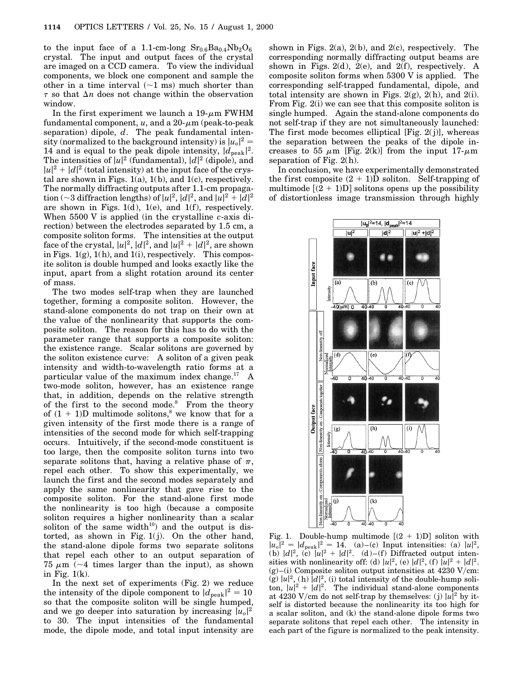to the input face of a 1.1-cm-long  $Sr<sub>0.6</sub>Ba<sub>0.4</sub>Nb<sub>2</sub>O<sub>6</sub>$ crystal. The input and output faces of the crystal are imaged on a CCD camera. To view the individual components, we block one component and sample the other in a time interval  $(-1 \text{ ms})$  much shorter than  $\tau$  so that  $\Delta n$  does not change within the observation window.

In the first experiment we launch a  $19-\mu m$  FWHM fundamental component,  $u$ , and a  $20 - \mu m$  (peak-to-peak separation) dipole, *d*. The peak fundamental intensity (normalized to the background intensity) is  $|u_0|^2 =$ 14 and is equal to the peak dipole intensity,  $|d_{\text{peak}}|^2$ . The intensities of  $|u|^2$  (fundamental),  $|d|^2$  (dipole), and  $|u|^2 + |d|^2$  (total intensity) at the input face of the crystal are shown in Figs.  $1(a)$ ,  $1(b)$ , and  $1(c)$ , respectively. The normally diffracting outputs after 1.1-cm propagation (~3 diffraction lengths) of  $|u|^2$ ,  $|d|^2$ , and  $|u|^2 + |d|^2$ are shown in Figs.  $1(d)$ ,  $1(e)$ , and  $1(f)$ , respectively. When 5500 V is applied (in the crystalline *c*-axis direction) between the electrodes separated by 1.5 cm, a composite soliton forms. The intensities at the output face of the crystal,  $|u|^2$ ,  $|d|^2$ , and  $|u|^2 + |d|^2$ , are shown in Figs.  $1(g)$ ,  $1(h)$ , and  $1(i)$ , respectively. This composite soliton is double humped and looks exactly like the input, apart from a slight rotation around its center of mass.

The two modes self-trap when they are launched together, forming a composite soliton. However, the stand-alone components do not trap on their own at the value of the nonlinearity that supports the composite soliton. The reason for this has to do with the parameter range that supports a composite soliton: the existence range. Scalar solitons are governed by the soliton existence curve: A soliton of a given peak intensity and width-to-wavelength ratio forms at a particular value of the maximum index change. $^{17}$  A two-mode soliton, however, has an existence range that, in addition, depends on the relative strength of the first to the second mode.<sup>8</sup> From the theory of  $(1 + 1)$ D multimode solitons,<sup>8</sup> we know that for a given intensity of the first mode there is a range of intensities of the second mode for which self-trapping occurs. Intuitively, if the second-mode constituent is too large, then the composite soliton turns into two separate solitons that, having a relative phase of  $\pi$ , repel each other. To show this experimentally, we launch the first and the second modes separately and apply the same nonlinearity that gave rise to the composite soliton. For the stand-alone first mode the nonlinearity is too high (because a composite soliton requires a higher nonlinearity than a scalar soliton of the same width $10$  and the output is distorted, as shown in Fig.  $1(i)$ . On the other hand, the stand-alone dipole forms two separate solitons that repel each other to an output separation of 75  $\mu$ m ( $\sim$ 4 times larger than the input), as shown in Fig.  $1(k)$ .

In the next set of experiments (Fig. 2) we reduce the intensity of the dipole component to  $|d_{\text{peak}}|^2 = 10$ so that the composite soliton will be single humped, and we go deeper into saturation by increasing  $|u_0|^2$ to 30. The input intensities of the fundamental mode, the dipole mode, and total input intensity are

shown in Figs.  $2(a)$ ,  $2(b)$ , and  $2(c)$ , respectively. The corresponding normally diffracting output beams are shown in Figs. 2(d), 2(e), and 2(f), respectively. A composite soliton forms when 5300 V is applied. The corresponding self-trapped fundamental, dipole, and total intensity are shown in Figs.  $2(g)$ ,  $2(h)$ , and  $2(i)$ . From Fig. 2(i) we can see that this composite soliton is single humped. Again the stand-alone components do not self-trap if they are not simultaneously launched: The first mode becomes elliptical  $[Fig. 2(j)]$ , whereas the separation between the peaks of the dipole increases to 55  $\mu$ m [Fig. 2(k)] from the input 17- $\mu$ m separation of Fig.  $2(h)$ .

In conclusion, we have experimentally demonstrated the first composite  $(2 + 1)D$  soliton. Self-trapping of multimode  $[(2 + 1)D]$  solitons opens up the possibility of distortionless image transmission through highly



Fig. 1. Double-hump multimode  $[(2 + 1)D]$  soliton with  $|u_0|^2 = |d_{\text{peak}}|^2 = 14.$  (a)–(c) Input intensities: (a)  $|u|^2$ , (b)  $|d|^2$ , (c)  $|u|^2 + |d|^2$ . (d)–(f) Diffracted output intensities with nonlinearity off: (d)  $|u|^2$ , (e)  $|d|^2$ , (f)  $|u|^2 + |d|^2$ .  $(g)$ –(i) Composite soliton output intensities at 4230 V/cm:  $(g)$   $|u|^2$ , (h)  $|d|^2$ , (i) total intensity of the double-hump soliton,  $|u|^2 + |d|^2$ . The individual stand-alone components at 4230 V/cm do not self-trap by themselves: (j)  $|u|^2$  by itself is distorted because the nonlinearity its too high for a scalar soliton, and (k) the stand-alone dipole forms two separate solitons that repel each other. The intensity in each part of the figure is normalized to the peak intensity.